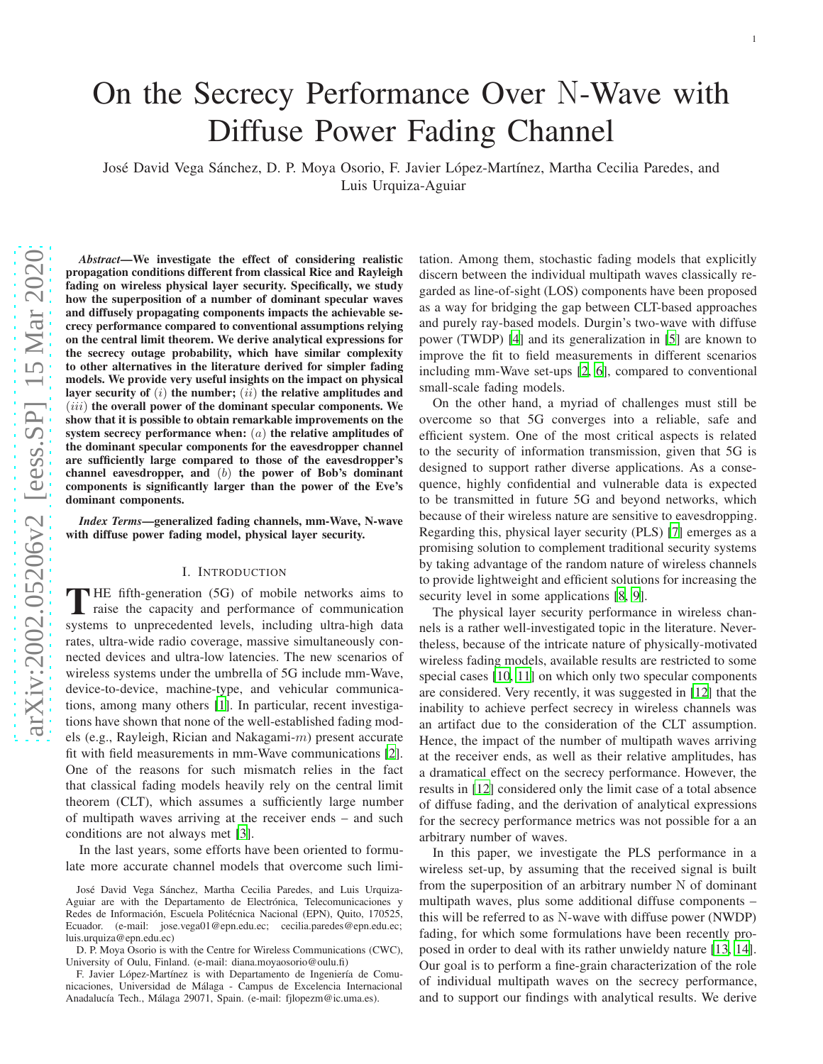# On the Secrecy Performance Over N-Wave with Diffuse Power Fading Channel

José David Vega Sánchez, D. P. Moya Osorio, F. Javier López-Martínez, Martha Cecilia Paredes, and Luis Urquiza-Aguiar

*Abstract*—We investigate the effect of considering realistic propagation conditions different from classical Rice and Rayleigh fading on wireless physical layer security. Specifically, we study how the superposition of a number of dominant specular waves and diffusely propagating components impacts the achievable secrecy performance compared to conventional assumptions relying on the central limit theorem. We derive analytical expressions for the secrecy outage probability, which have similar complexity to other alternatives in the literature derived for simpler fading models. We provide very useful insights on the impact on physical layer security of  $(i)$  the number;  $(ii)$  the relative amplitudes and  $(iii)$  the overall power of the dominant specular components. We show that it is possible to obtain remarkable improvements on the system secrecy performance when:  $(a)$  the relative amplitudes of the dominant specular components for the eavesdropper channel are sufficiently large compared to those of the eavesdropper's channel eavesdropper, and  $(b)$  the power of Bob's dominant components is significantly larger than the power of the Eve's dominant components.

*Index Terms*—generalized fading channels, mm-Wave, N-wave with diffuse power fading model, physical layer security.

#### I. INTRODUCTION

THE fifth-generation (5G) of mobile networks aims to raise the capacity and performance of communication systems to unprecedented levels, including ultra-high data HE fifth-generation (5G) of mobile networks aims to raise the capacity and performance of communication rates, ultra-wide radio coverage, massive simultaneously connected devices and ultra-low latencies. The new scenarios of wireless systems under the umbrella of 5G include mm-Wave, device-to-device, machine-type, and vehicular communications, among many others [\[1\]](#page-7-0). In particular, recent investigations have shown that none of the well-established fading models (e.g., Rayleigh, Rician and Nakagami-m) present accurate fit with field measurements in mm-Wave communications [\[2](#page-7-1)]. One of the reasons for such mismatch relies in the fact that classical fading models heavily rely on the central limit theorem (CLT), which assumes a sufficiently large number of multipath waves arriving at the receiver ends – and such conditions are not always met [\[3\]](#page-7-2).

In the last years, some efforts have been oriented to formulate more accurate channel models that overcome such limi-

José David Vega Sánchez, Martha Cecilia Paredes, and Luis Urquiza-Aguiar are with the Departamento de Electrónica, Telecomunicaciones y Redes de Información, Escuela Politécnica Nacional (EPN), Quito, 170525, Ecuador. (e-mail: jose.vega01@epn.edu.ec; cecilia.paredes@epn.edu.ec; luis.urquiza@epn.edu.ec)

D. P. Moya Osorio is with the Centre for Wireless Communications (CWC), University of Oulu, Finland. (e-mail: diana.moyaosorio@oulu.fi)

F. Javier López-Martínez is with Departamento de Ingeniería de Comunicaciones, Universidad de Málaga - Campus de Excelencia Internacional Anadalucía Tech., Málaga 29071, Spain. (e-mail: fjlopezm@ic.uma.es).

tation. Among them, stochastic fading models that explicitly discern between the individual multipath waves classically regarded as line-of-sight (LOS) components have been proposed as a way for bridging the gap between CLT-based approaches and purely ray-based models. Durgin's two-wave with diffuse power (TWDP) [\[4\]](#page-7-3) and its generalization in [\[5\]](#page-7-4) are known to improve the fit to field measurements in different scenarios including mm-Wave set-ups [\[2,](#page-7-1) [6\]](#page-7-5), compared to conventional small-scale fading models.

On the other hand, a myriad of challenges must still be overcome so that 5G converges into a reliable, safe and efficient system. One of the most critical aspects is related to the security of information transmission, given that 5G is designed to support rather diverse applications. As a consequence, highly confidential and vulnerable data is expected to be transmitted in future 5G and beyond networks, which because of their wireless nature are sensitive to eavesdropping. Regarding this, physical layer security (PLS) [\[7\]](#page-7-6) emerges as a promising solution to complement traditional security systems by taking advantage of the random nature of wireless channels to provide lightweight and efficient solutions for increasing the security level in some applications [\[8](#page-7-7), [9](#page-7-8)].

The physical layer security performance in wireless channels is a rather well-investigated topic in the literature. Nevertheless, because of the intricate nature of physically-motivated wireless fading models, available results are restricted to some special cases [\[10,](#page-7-9) [11\]](#page-7-10) on which only two specular components are considered. Very recently, it was suggested in [\[12\]](#page-7-11) that the inability to achieve perfect secrecy in wireless channels was an artifact due to the consideration of the CLT assumption. Hence, the impact of the number of multipath waves arriving at the receiver ends, as well as their relative amplitudes, has a dramatical effect on the secrecy performance. However, the results in [\[12\]](#page-7-11) considered only the limit case of a total absence of diffuse fading, and the derivation of analytical expressions for the secrecy performance metrics was not possible for a an arbitrary number of waves.

In this paper, we investigate the PLS performance in a wireless set-up, by assuming that the received signal is built from the superposition of an arbitrary number N of dominant multipath waves, plus some additional diffuse components – this will be referred to as N-wave with diffuse power (NWDP) fading, for which some formulations have been recently proposed in order to deal with its rather unwieldy nature [\[13,](#page-7-12) [14](#page-7-13)]. Our goal is to perform a fine-grain characterization of the role of individual multipath waves on the secrecy performance, and to support our findings with analytical results. We derive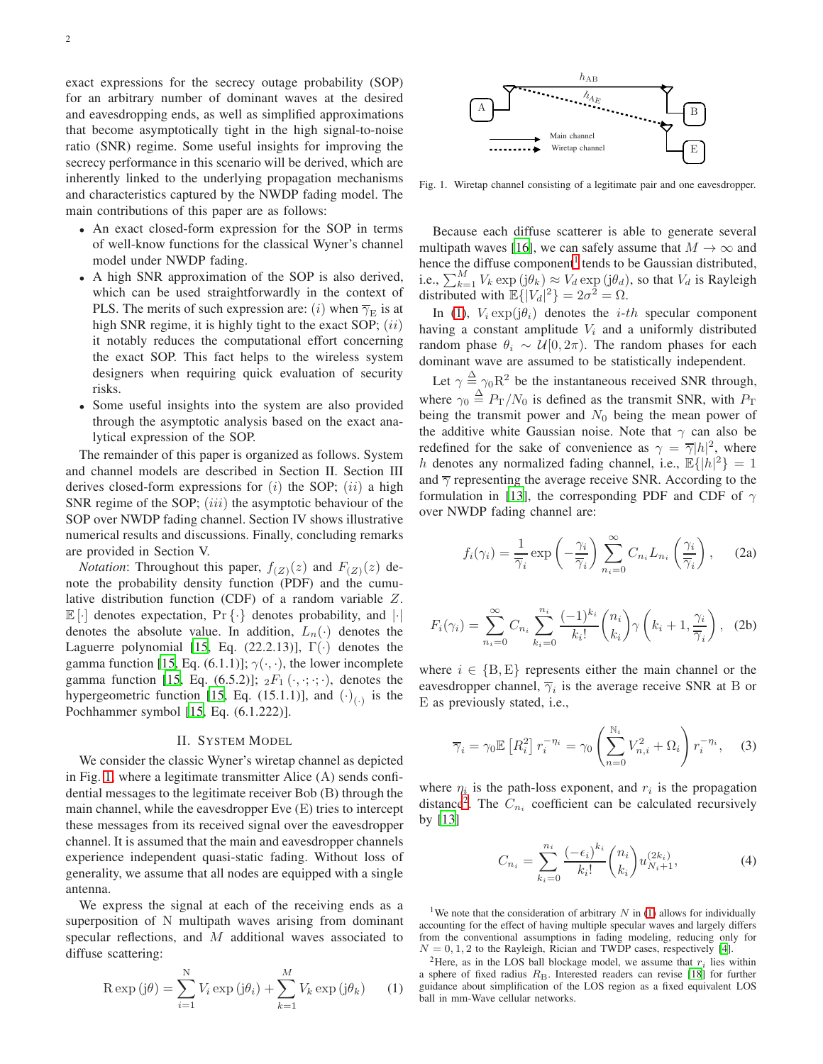exact expressions for the secrecy outage probability (SOP) for an arbitrary number of dominant waves at the desired and eavesdropping ends, as well as simplified approximations that become asymptotically tight in the high signal-to-noise ratio (SNR) regime. Some useful insights for improving the secrecy performance in this scenario will be derived, which are inherently linked to the underlying propagation mechanisms and characteristics captured by the NWDP fading model. The main contributions of this paper are as follows:

- An exact closed-form expression for the SOP in terms of well-know functions for the classical Wyner's channel model under NWDP fading.
- A high SNR approximation of the SOP is also derived, which can be used straightforwardly in the context of PLS. The merits of such expression are: (i) when  $\overline{\gamma}_{\text{E}}$  is at high SNR regime, it is highly tight to the exact SOP;  $(ii)$ it notably reduces the computational effort concerning the exact SOP. This fact helps to the wireless system designers when requiring quick evaluation of security risks.
- Some useful insights into the system are also provided through the asymptotic analysis based on the exact analytical expression of the SOP.

The remainder of this paper is organized as follows. System and channel models are described in Section II. Section III derives closed-form expressions for  $(i)$  the SOP;  $(ii)$  a high SNR regime of the SOP;  $(iii)$  the asymptotic behaviour of the SOP over NWDP fading channel. Section IV shows illustrative numerical results and discussions. Finally, concluding remarks are provided in Section V.

*Notation*: Throughout this paper,  $f(z)(z)$  and  $F(z)(z)$  denote the probability density function (PDF) and the cumulative distribution function (CDF) of a random variable Z.  $\mathbb{E}[\cdot]$  denotes expectation,  $\Pr{\{\cdot\}}$  denotes probability, and  $|\cdot|$ denotes the absolute value. In addition,  $L_n(\cdot)$  denotes the Laguerre polynomial [\[15,](#page-7-14) Eq. (22.2.13)],  $\Gamma(\cdot)$  denotes the gamma function [\[15](#page-7-14), Eq. (6.1.1)];  $\gamma(\cdot, \cdot)$ , the lower incomplete gamma function [\[15](#page-7-14), Eq. (6.5.2)];  $_2F_1(\cdot, \cdot; \cdot; \cdot)$ , denotes the hypergeometric function [\[15,](#page-7-14) Eq. (15.1.1)], and  $(\cdot)_{(\cdot)}$  is the Pochhammer symbol [\[15](#page-7-14), Eq. (6.1.222)].

#### II. SYSTEM MODEL

We consider the classic Wyner's wiretap channel as depicted in Fig. [1,](#page-1-0) where a legitimate transmitter Alice (A) sends confidential messages to the legitimate receiver Bob (B) through the main channel, while the eavesdropper Eve (E) tries to intercept these messages from its received signal over the eavesdropper channel. It is assumed that the main and eavesdropper channels experience independent quasi-static fading. Without loss of generality, we assume that all nodes are equipped with a single antenna.

We express the signal at each of the receiving ends as a superposition of N multipath waves arising from dominant specular reflections, and M additional waves associated to diffuse scattering:

<span id="page-1-2"></span>
$$
R \exp(j\theta) = \sum_{i=1}^{N} V_i \exp(j\theta_i) + \sum_{k=1}^{M} V_k \exp(j\theta_k)
$$
 (1)



<span id="page-1-0"></span>Fig. 1. Wiretap channel consisting of a legitimate pair and one eavesdropper.

Because each diffuse scatterer is able to generate several multipath waves [\[16\]](#page-7-15), we can safely assume that  $M \to \infty$  and hence the diffuse component<sup>[1](#page-1-1)</sup> tends to be Gaussian distributed, i.e.,  $\sum_{k=1}^{M} V_k \exp(j\theta_k) \approx V_d \exp(j\theta_d)$ , so that  $V_d$  is Rayleigh distributed with  $\mathbb{E}\{ |V_d|^2 \} = 2\sigma^2 = \Omega$ .

In [\(1\)](#page-1-2),  $V_i \exp(j\theta_i)$  denotes the *i-th* specular component having a constant amplitude  $V_i$  and a uniformly distributed random phase  $\theta_i \sim \mathcal{U}[0, 2\pi)$ . The random phases for each dominant wave are assumed to be statistically independent.

Let  $\gamma \triangleq \gamma_0 R^2$  be the instantaneous received SNR through, where  $\gamma_0 \triangleq P_{\rm T}/N_0$  is defined as the transmit SNR, with  $P_{\rm T}$ being the transmit power and  $N_0$  being the mean power of the additive white Gaussian noise. Note that  $\gamma$  can also be redefined for the sake of convenience as  $\gamma = \overline{\gamma} |h|^2$ , where h denotes any normalized fading channel, i.e.,  $\mathbb{E}\{|h|^2\} = 1$ and  $\overline{\gamma}$  representing the average receive SNR. According to the formulation in [\[13\]](#page-7-12), the corresponding PDF and CDF of  $\gamma$ over NWDP fading channel are:

<span id="page-1-6"></span><span id="page-1-5"></span><span id="page-1-4"></span>
$$
f_i(\gamma_i) = \frac{1}{\overline{\gamma}_i} \exp\left(-\frac{\gamma_i}{\overline{\gamma}_i}\right) \sum_{n_i=0}^{\infty} C_{n_i} L_{n_i} \left(\frac{\gamma_i}{\overline{\gamma}_i}\right), \quad (2a)
$$

$$
F_i(\gamma_i) = \sum_{n_i=0}^{\infty} C_{n_i} \sum_{k_i=0}^{n_i} \frac{(-1)^{k_i}}{k_i!} {n_i \choose k_i} \gamma \left(k_i+1, \frac{\gamma_i}{\overline{\gamma}_i}\right), \quad (2b)
$$

where  $i \in \{B, E\}$  represents either the main channel or the eavesdropper channel,  $\overline{\gamma}_i$  is the average receive SNR at B or E as previously stated, i.e.,

$$
\overline{\gamma}_i = \gamma_0 \mathbb{E}\left[R_i^2\right] r_i^{-\eta_i} = \gamma_0 \left(\sum_{n=0}^{\mathbb{N}_i} V_{n,i}^2 + \Omega_i\right) r_i^{-\eta_i}, \quad (3)
$$

where  $\eta_i$  is the path-loss exponent, and  $r_i$  is the propagation distance<sup>[2](#page-1-3)</sup>. The  $C_{n_i}$  coefficient can be calculated recursively by [\[13\]](#page-7-12)

$$
C_{n_i} = \sum_{k_i=0}^{n_i} \frac{(-\epsilon_i)^{k_i}}{k_i!} {n_i \choose k_i} u_{N_i+1}^{(2k_i)},
$$
(4)

<span id="page-1-1"></span><sup>1</sup>We note that the consideration of arbitrary  $N$  in [\(1\)](#page-1-2) allows for individually accounting for the effect of having multiple specular waves and largely differs from the conventional assumptions in fading modeling, reducing only for  $N = 0, 1, 2$  to the Rayleigh, Rician and TWDP cases, respectively [\[4](#page-7-3)].

<span id="page-1-3"></span><sup>2</sup>Here, as in the LOS ball blockage model, we assume that  $r_i$  lies within a sphere of fixed radius  $R_B$ . Interested readers can revise [\[18](#page-7-16)] for further guidance about simplification of the LOS region as a fixed equivalent LOS ball in mm-Wave cellular networks.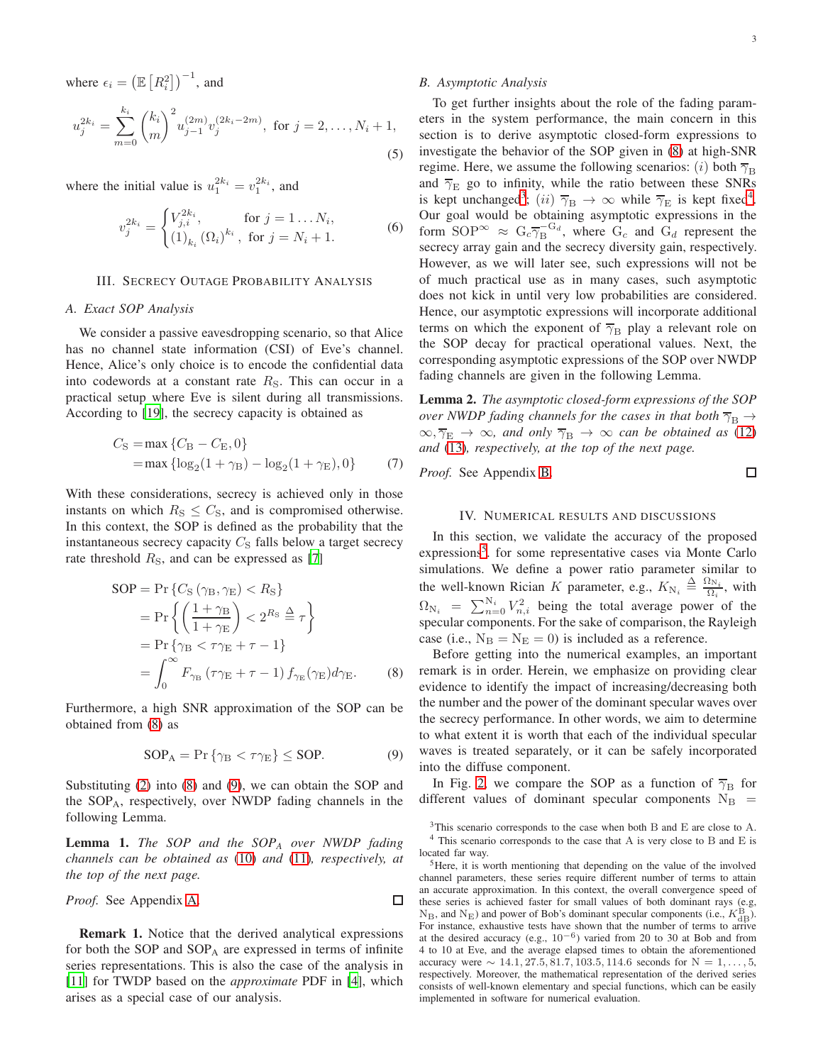where  $\epsilon_i = \left(\mathbb{E}\left[R_i^2\right]\right)^{-1}$ , and  $u_{j}^{2k_{i}}=\sum^{k_{i}}% \sum_{j=1}^{k_{i}}\left\vert \sum^{k_{i}}\left\vert \widehat{u}_{j}\right\vert \right\vert ^{2k_{i}}\left\vert \widehat{u}_{j}\right\vert ^{2k_{i}}\left\vert \widehat{u}_{j}\right\rangle ^{2k_{i}}\left\vert \widehat{u}_{j}\right\rangle ^{2k_{i}}\left\vert \widehat{u}_{j}\right\rangle ^{2k_{i}}\left\vert \widehat{u}_{j}\right\rangle ^{2k_{i}}\left\vert \widehat{u}_{j}\right\rangle ^{2k_{i}}$  $m=0$  $\sqrt{k_i}$ m  $\int_{1}^{2} u_{j-1}^{(2m)} v_j^{(2k_i-2m)}$ , for  $j = 2, ..., N_i + 1$ , (5)

where the initial value is  $u_1^{2k_i} = v_1^{2k_i}$ , and

$$
v_j^{2k_i} = \begin{cases} V_{j,i}^{2k_i}, & \text{for } j = 1 \dots N_i, \\ (1)_{k_i} (\Omega_i)^{k_i}, & \text{for } j = N_i + 1. \end{cases}
$$
 (6)

## III. SECRECY OUTAGE PROBABILITY ANALYSIS

#### *A. Exact SOP Analysis*

We consider a passive eavesdropping scenario, so that Alice has no channel state information (CSI) of Eve's channel. Hence, Alice's only choice is to encode the confidential data into codewords at a constant rate  $R<sub>S</sub>$ . This can occur in a practical setup where Eve is silent during all transmissions. According to [\[19](#page-7-17)], the secrecy capacity is obtained as

$$
C_{\rm S} = \max \{ C_{\rm B} - C_{\rm E}, 0 \}
$$
  
= max \{ \log\_2(1 + \gamma\_{\rm B}) - \log\_2(1 + \gamma\_{\rm E}), 0 \} (7)

With these considerations, secrecy is achieved only in those instants on which  $R<sub>S</sub> \leq C<sub>S</sub>$ , and is compromised otherwise. In this context, the SOP is defined as the probability that the instantaneous secrecy capacity  $C<sub>S</sub>$  falls below a target secrecy rate threshold  $R<sub>S</sub>$ , and can be expressed as [\[7](#page-7-6)]

$$
SOP = Pr \{ C_S (\gamma_B, \gamma_E) < R_S \}
$$
\n
$$
= Pr \left\{ \left( \frac{1 + \gamma_B}{1 + \gamma_E} \right) < 2^{R_S} \stackrel{\Delta}{=} \tau \right\}
$$
\n
$$
= Pr \{ \gamma_B < \tau \gamma_E + \tau - 1 \}
$$
\n
$$
= \int_0^\infty F_{\gamma_B} \left( \tau \gamma_E + \tau - 1 \right) f_{\gamma_E}(\gamma_E) d\gamma_E. \tag{8}
$$

Furthermore, a high SNR approximation of the SOP can be obtained from [\(8\)](#page-2-0) as

$$
SOP_A = \Pr \{ \gamma_B < \tau \gamma_E \} \leq \text{SOP}.\tag{9}
$$

Substituting [\(2\)](#page-1-4) into [\(8\)](#page-2-0) and [\(9\)](#page-2-1), we can obtain the SOP and the SOPA, respectively, over NWDP fading channels in the following Lemma.

<span id="page-2-5"></span>Lemma 1. *The SOP and the SOP<sup>A</sup> over NWDP fading channels can be obtained as* [\(10\)](#page-3-0) *and* [\(11\)](#page-3-1)*, respectively, at the top of the next page.*

*Proof.* See Appendix A. 
$$
\Box
$$

Remark 1. Notice that the derived analytical expressions for both the SOP and  $SOP_A$  are expressed in terms of infinite series representations. This is also the case of the analysis in [\[11](#page-7-10)] for TWDP based on the *approximate* PDF in [\[4](#page-7-3)], which arises as a special case of our analysis.

# *B. Asymptotic Analysis*

To get further insights about the role of the fading parameters in the system performance, the main concern in this section is to derive asymptotic closed-form expressions to investigate the behavior of the SOP given in [\(8\)](#page-2-0) at high-SNR regime. Here, we assume the following scenarios: (i) both  $\overline{\gamma}_{\text{B}}$ and  $\overline{\gamma}_E$  go to infinity, while the ratio between these SNRs is kept unchanged<sup>[3](#page-2-2)</sup>; (ii)  $\overline{\gamma}_{\text{B}} \rightarrow \infty$  while  $\overline{\gamma}_{\text{E}}$  is kept fixed<sup>[4](#page-2-3)</sup>. Our goal would be obtaining asymptotic expressions in the form  $SOP^{\infty} \approx G_c \overline{\gamma_B}^{G_d}$ , where  $G_c$  and  $G_d$  represent the secrecy array gain and the secrecy diversity gain, respectively. However, as we will later see, such expressions will not be of much practical use as in many cases, such asymptotic does not kick in until very low probabilities are considered. Hence, our asymptotic expressions will incorporate additional terms on which the exponent of  $\overline{\gamma}_{\rm B}$  play a relevant role on the SOP decay for practical operational values. Next, the corresponding asymptotic expressions of the SOP over NWDP fading channels are given in the following Lemma.

<span id="page-2-6"></span>Lemma 2. *The asymptotic closed-form expressions of the SOP over NWDP fading channels for the cases in that both*  $\overline{\gamma}_B \rightarrow$  $\infty$ ,  $\overline{\gamma}_E \rightarrow \infty$ , and only  $\overline{\gamma}_B \rightarrow \infty$  *can be obtained as* [\(12\)](#page-3-2) *and* [\(13\)](#page-3-3)*, respectively, at the top of the next page.*

*Proof.* See Appendix [B.](#page-6-1)

 $\Box$ 

### IV. NUMERICAL RESULTS AND DISCUSSIONS

In this section, we validate the accuracy of the proposed expressions<sup>[5](#page-2-4)</sup>. for some representative cases via Monte Carlo simulations. We define a power ratio parameter similar to the well-known Rician K parameter, e.g.,  $K_{\text{N}_i} \triangleq \frac{\Omega_{\text{N}_i}}{\Omega_i}$  $\frac{iN_i}{\Omega_i}$ , with  $\Omega_{N_i}$  =  $\sum_{n=0}^{N_i} V_{n,i}^2$  being the total average power of the specular components. For the sake of comparison, the Rayleigh case (i.e.,  $N_B = N_E = 0$ ) is included as a reference.

<span id="page-2-0"></span>Before getting into the numerical examples, an important remark is in order. Herein, we emphasize on providing clear evidence to identify the impact of increasing/decreasing both the number and the power of the dominant specular waves over the secrecy performance. In other words, we aim to determine to what extent it is worth that each of the individual specular waves is treated separately, or it can be safely incorporated into the diffuse component.

<span id="page-2-1"></span>In Fig. [2,](#page-3-4) we compare the SOP as a function of  $\overline{\gamma}_{\text{B}}$  for different values of dominant specular components  $N_B$  =

<span id="page-2-2"></span><sup>3</sup>This scenario corresponds to the case when both B and E are close to A. <sup>4</sup> This scenario corresponds to the case that A is very close to B and E is located far way.

<span id="page-2-4"></span><span id="page-2-3"></span><sup>&</sup>lt;sup>5</sup>Here, it is worth mentioning that depending on the value of the involved channel parameters, these series require different number of terms to attain an accurate approximation. In this context, the overall convergence speed of these series is achieved faster for small values of both dominant rays (e.g,  $N_B$ , and  $N_E$ ) and power of Bob's dominant specular components (i.e.,  $K_{\text{dB}}^{\text{B}}$ ). For instance, exhaustive tests have shown that the number of terms to arrive at the desired accuracy (e.g.,  $10^{-6}$ ) varied from 20 to 30 at Bob and from 4 to 10 at Eve, and the average elapsed times to obtain the aforementioned accuracy were  $\sim 14.1, 27.5, 81.7, 103.5, 114.6$  seconds for N = 1, ..., 5, respectively. Moreover, the mathematical representation of the derived series consists of well-known elementary and special functions, which can be easily implemented in software for numerical evaluation.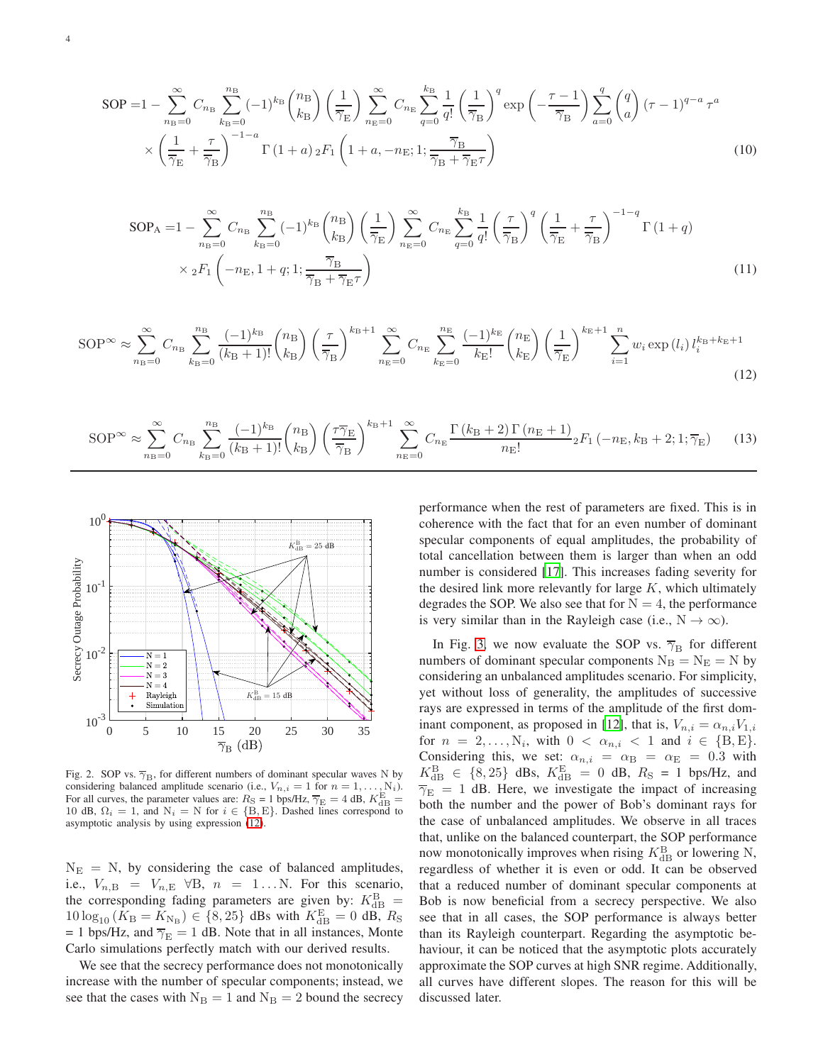$$
SOP = 1 - \sum_{n_B=0}^{\infty} C_{n_B} \sum_{k_B=0}^{n_B} (-1)^{k_B} {n_B \choose k_B} \left(\frac{1}{\overline{\gamma_E}}\right) \sum_{n_B=0}^{\infty} C_{n_B} \sum_{q=0}^{k_B} \frac{1}{q!} \left(\frac{1}{\overline{\gamma_B}}\right)^q \exp\left(-\frac{\tau - 1}{\overline{\gamma_B}}\right) \sum_{a=0}^q {q \choose a} (\tau - 1)^{q-a} \tau^a
$$
  
 
$$
\times \left(\frac{1}{\overline{\gamma_E}} + \frac{\tau}{\overline{\gamma_B}}\right)^{-1-a} \Gamma\left(1+a\right) {}_2F_1\left(1+a, -n_E; 1; \frac{\overline{\gamma_B}}{\overline{\gamma_B} + \overline{\gamma_E} \tau}\right) \tag{10}
$$

$$
SOP_A = 1 - \sum_{n_B=0}^{\infty} C_{n_B} \sum_{k_B=0}^{n_B} (-1)^{k_B} {n_B \choose k_B} \left(\frac{1}{\overline{\gamma}_E}\right) \sum_{n_E=0}^{\infty} C_{n_E} \sum_{q=0}^{k_B} \frac{1}{q!} \left(\frac{\tau}{\overline{\gamma}_B}\right)^q \left(\frac{1}{\overline{\gamma}_E} + \frac{\tau}{\overline{\gamma}_B}\right)^{-1-q} \Gamma\left(1+q\right)
$$
  
 
$$
\times {}_{2}F_1 \left(-n_E, 1+q; 1; \frac{\overline{\gamma}_B}{\overline{\gamma}_B + \overline{\gamma}_E \tau}\right)
$$
(11)

$$
\text{SOP}^{\infty} \approx \sum_{n_{\text{B}}=0}^{\infty} C_{n_{\text{B}}} \sum_{k_{\text{B}}=0}^{n_{\text{B}}} \frac{(-1)^{k_{\text{B}}}}{(k_{\text{B}}+1)!} {n_{\text{B}}} \left(\frac{n_{\text{B}}}{\overline{\gamma}_{\text{B}}}\right) \left(\frac{\tau}{\overline{\gamma}_{\text{B}}}\right)^{k_{\text{B}}+1} \sum_{n_{\text{E}}=0}^{\infty} C_{n_{\text{E}}} \sum_{k_{\text{E}}=0}^{n_{\text{E}}} \frac{(-1)^{k_{\text{E}}}}{k_{\text{E}}!} {n_{\text{E}} \choose k_{\text{E}}} \left(\frac{1}{\overline{\gamma}_{\text{E}}}\right)^{k_{\text{E}}+1} \sum_{i=1}^{n} w_{i} \exp\left(l_{i}\right) l_{i}^{k_{\text{B}}+k_{\text{E}}+1} \tag{12}
$$

$$
\text{SOP}^{\infty} \approx \sum_{n_{\text{B}}=0}^{\infty} C_{n_{\text{B}}} \sum_{k_{\text{B}}=0}^{n_{\text{B}}} \frac{(-1)^{k_{\text{B}}}}{(k_{\text{B}}+1)!} {n_{\text{B}} \choose k_{\text{B}}} \left(\frac{\tau \overline{\gamma}_{\text{E}}}{\overline{\gamma}_{\text{B}}}\right)^{k_{\text{B}}+1} \sum_{n_{\text{E}}=0}^{\infty} C_{n_{\text{E}}} \frac{\Gamma\left(k_{\text{B}}+2\right) \Gamma\left(n_{\text{E}}+1\right)}{n_{\text{E}}!} {}_{2}F_{1}\left(-n_{\text{E}}, k_{\text{B}}+2; 1; \overline{\gamma}_{\text{E}}\right) \tag{13}
$$



<span id="page-3-4"></span>Fig. 2. SOP vs.  $\overline{\gamma}_{\text{B}}$ , for different numbers of dominant specular waves N by considering balanced amplitude scenario (i.e.,  $V_{n,i} = 1$  for  $n = 1, \ldots, N_i$ ). For all curves, the parameter values are:  $R_S = 1$  bps/Hz,  $\overline{\gamma}_E = 4$  dB,  $K_{\text{dB}}^E =$ 10 dB,  $\Omega_i = 1$ , and  $N_i = N$  for  $i \in \{B, E\}$ . Dashed lines correspond to asymptotic analysis by using expression [\(12\)](#page-3-2).

 $N_{\rm E}$  = N, by considering the case of balanced amplitudes, i.e.,  $V_{n,B} = V_{n,E}$   $\forall B, n = 1...N$ . For this scenario, the corresponding fading parameters are given by:  $K_{\text{dB}}^{\text{B}}$  =  $10 \log_{10} (K_{\rm B} = K_{\rm N_B}) \in \{8, 25\}$  dBs with  $K_{\rm dB}^{\rm E} = 0$  dB,  $R_{\rm S}$ = 1 bps/Hz, and  $\overline{\gamma}_E = 1$  dB. Note that in all instances, Monte Carlo simulations perfectly match with our derived results.

We see that the secrecy performance does not monotonically increase with the number of specular components; instead, we see that the cases with  $N_B = 1$  and  $N_B = 2$  bound the secrecy <span id="page-3-3"></span><span id="page-3-2"></span><span id="page-3-1"></span><span id="page-3-0"></span>performance when the rest of parameters are fixed. This is in coherence with the fact that for an even number of dominant specular components of equal amplitudes, the probability of total cancellation between them is larger than when an odd number is considered [\[17\]](#page-7-18). This increases fading severity for the desired link more relevantly for large  $K$ , which ultimately degrades the SOP. We also see that for  $N = 4$ , the performance is very similar than in the Rayleigh case (i.e.,  $N \to \infty$ ).

In Fig. [3,](#page-4-0) we now evaluate the SOP vs.  $\overline{\gamma}_{\text{B}}$  for different numbers of dominant specular components  $N_B = N_E = N$  by considering an unbalanced amplitudes scenario. For simplicity, yet without loss of generality, the amplitudes of successive rays are expressed in terms of the amplitude of the first dom-inant component, as proposed in [\[12](#page-7-11)], that is,  $V_{n,i} = \alpha_{n,i} V_{1,i}$ for  $n = 2, ..., N_i$ , with  $0 < \alpha_{n,i} < 1$  and  $i \in \{B, E\}$ . Considering this, we set:  $\alpha_{n,i} = \alpha_{\text{B}} = \alpha_{\text{E}} = 0.3$  with  $K_{\text{dB}}^{\text{B}} \in \{8, 25\}$  dBs,  $K_{\text{dB}}^{\text{E}} = 0$  dB,  $R_{\text{S}} = 1$  bps/Hz, and  $\overline{\gamma}_{\rm E} = 1$  dB. Here, we investigate the impact of increasing both the number and the power of Bob's dominant rays for the case of unbalanced amplitudes. We observe in all traces that, unlike on the balanced counterpart, the SOP performance now monotonically improves when rising  $K_{\text{dB}}^{\text{B}}$  or lowering N, regardless of whether it is even or odd. It can be observed that a reduced number of dominant specular components at Bob is now beneficial from a secrecy perspective. We also see that in all cases, the SOP performance is always better than its Rayleigh counterpart. Regarding the asymptotic behaviour, it can be noticed that the asymptotic plots accurately approximate the SOP curves at high SNR regime. Additionally, all curves have different slopes. The reason for this will be discussed later.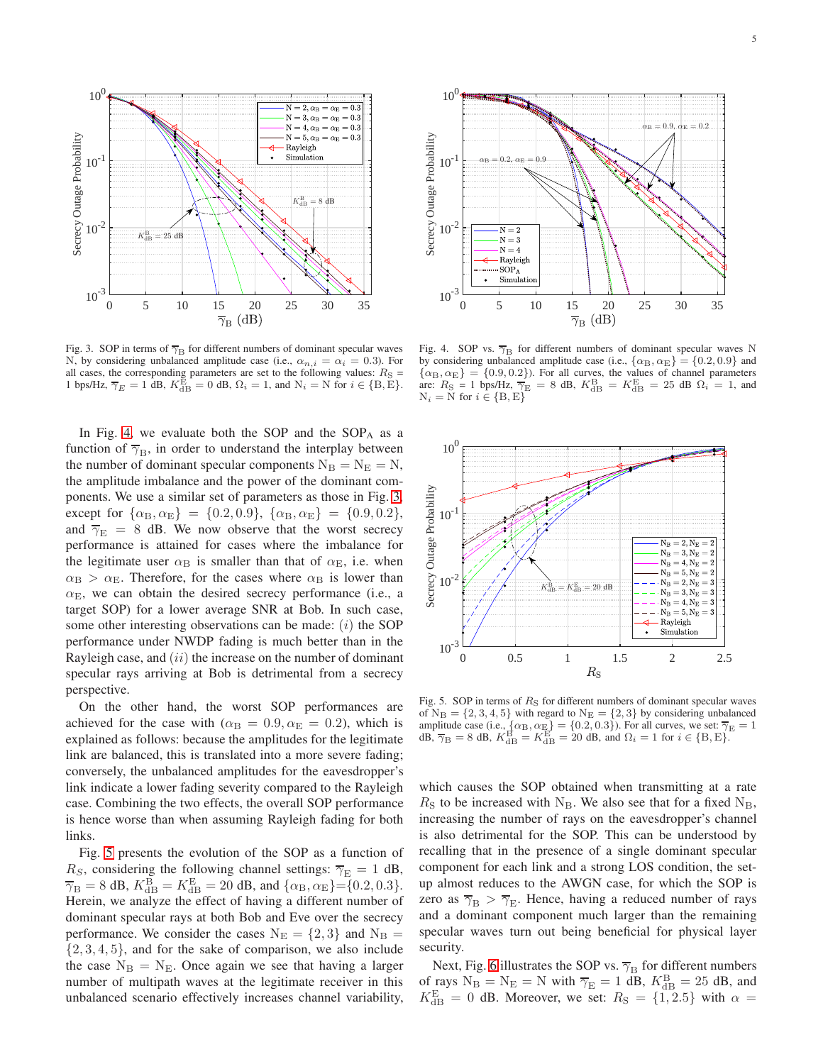

<span id="page-4-0"></span>Fig. 3. SOP in terms of  $\overline{\gamma}_{\text{B}}$  for different numbers of dominant specular waves N, by considering unbalanced amplitude case (i.e.,  $\alpha_{n,i} = \alpha_i = 0.3$ ). For all cases, the corresponding parameters are set to the following values:  $R<sub>S</sub>$  = 1 bps/Hz,  $\overline{\gamma}_E = 1$  dB,  $K_{\text{dB}}^{\overline{E}} = 0$  dB,  $\Omega_i = 1$ , and  $N_i = N$  for  $i \in \{B, \overline{E}\}.$ 

In Fig. [4,](#page-4-1) we evaluate both the SOP and the  $SOP<sub>A</sub>$  as a function of  $\overline{\gamma}_{\text{B}}$ , in order to understand the interplay between the number of dominant specular components  $N_B = N_E = N$ , the amplitude imbalance and the power of the dominant components. We use a similar set of parameters as those in Fig. [3,](#page-4-0) except for  $\{\alpha_{\rm B}, \alpha_{\rm E}\} = \{0.2, 0.9\}, \{\alpha_{\rm B}, \alpha_{\rm E}\} = \{0.9, 0.2\},\}$ and  $\overline{\gamma}_{\rm E}$  = 8 dB. We now observe that the worst secrecy performance is attained for cases where the imbalance for the legitimate user  $\alpha_B$  is smaller than that of  $\alpha_E$ , i.e. when  $\alpha_B > \alpha_E$ . Therefore, for the cases where  $\alpha_B$  is lower than  $\alpha_{\rm E}$ , we can obtain the desired secrecy performance (i.e., a target SOP) for a lower average SNR at Bob. In such case, some other interesting observations can be made:  $(i)$  the SOP performance under NWDP fading is much better than in the Rayleigh case, and  $(ii)$  the increase on the number of  $\frac{1}{n}$ specular rays arriving at Bob is detrimental from a secrecy perspective.

On the other hand, the worst SOP performances are achieved for the case with ( $\alpha_B = 0.9, \alpha_E = 0.2$ ), which is explained as follows: because the amplitudes for the legitimate link are balanced, this is translated into a more severe fading; conversely, the unbalanced amplitudes for the eavesdropper's link indicate a lower fading severity compared to the Rayleigh case. Combining the two effects, the overall SOP performance is hence worse than when assuming Rayleigh fading for both links.

Fig. [5](#page-4-2) presents the evolution of the SOP as a function of  $R<sub>S</sub>$ , considering the following channel settings:  $\overline{\gamma}_{\rm E} = 1$  dB,  $\overline{\gamma}_{\text{B}} = 8$  dB,  $K_{\text{dB}}^{\text{B}} = K_{\text{dB}}^{\text{E}} = 20$  dB, and  $\{\alpha_{\text{B}}, \alpha_{\text{E}}\} = \{0.2, 0.3\}.$ Herein, we analyze the effect of having a different number of dominant specular rays at both Bob and Eve over the secrecy performance. We consider the cases  $N_E = \{2, 3\}$  and  $N_B =$  $\{2, 3, 4, 5\}$ , and for the sake of comparison, we also include the case  $N_B = N_E$ . Once again we see that having a larger number of multipath waves at the legitimate receiver in this unbalanced scenario effectively increases channel variability,



<span id="page-4-1"></span>Fig. 4. SOP vs.  $\overline{\gamma}_{\rm B}$  for different numbers of dominant specular waves N by considering unbalanced amplitude case (i.e.,  $\{\alpha_B, \alpha_E\} = \{0.2, 0.9\}$  and  $\{\alpha_{\rm B}, \alpha_{\rm E}\} = \{0.9, 0.2\}$ ). For all curves, the values of channel parameters are:  $R_{\rm S} = 1$  bps/Hz,  $\overline{\gamma_{\rm E}} = 8$  dB,  $K_{\rm dB}^{\rm B} = K_{\rm dB}^{\rm E} = 25$  dB  $\Omega_i = 1$ , and  $N_i = N$  for  $i \in \{B, E\}$ 



<span id="page-4-2"></span>Fig. 5. SOP in terms of  $R<sub>S</sub>$  for different numbers of dominant specular waves of  $N_B = \{2, 3, 4, 5\}$  with regard to  $N_E = \{2, 3\}$  by considering unbalanced amplitude case (i.e.,  $\{\alpha_B, \alpha_E\} = \{0.2, 0.3\}$ ). For all curves, we set:  $\overline{\gamma_E} = 1$  $dB$ ,  $\overline{\gamma}_{\rm B} = 8$  dB,  $K_{\rm dB}^{\rm B} = K_{\rm dB}^{\rm E} = 20$  dB, and  $\Omega_i = 1$  for  $i \in {\rm \{B,E\}}$ .

which causes the SOP obtained when transmitting at a rate  $R<sub>S</sub>$  to be increased with N<sub>B</sub>. We also see that for a fixed N<sub>B</sub>, increasing the number of rays on the eavesdropper's channel is also detrimental for the SOP. This can be understood by recalling that in the presence of a single dominant specular component for each link and a strong LOS condition, the setup almost reduces to the AWGN case, for which the SOP is zero as  $\overline{\gamma}_{\text{B}} > \overline{\gamma}_{\text{E}}$ . Hence, having a reduced number of rays and a dominant component much larger than the remaining specular waves turn out being beneficial for physical layer security.

Next, Fig. [6](#page-5-0) illustrates the SOP vs.  $\overline{\gamma}_{\text{B}}$  for different numbers of rays  $N_B = N_E = N$  with  $\overline{\gamma}_E = 1$  dB,  $K_{dB}^B = 25$  dB, and  $K_{\text{dB}}^{\text{E}} = 0$  dB. Moreover, we set:  $R_{\text{S}} = \{1, 2.5\}$  with  $\alpha =$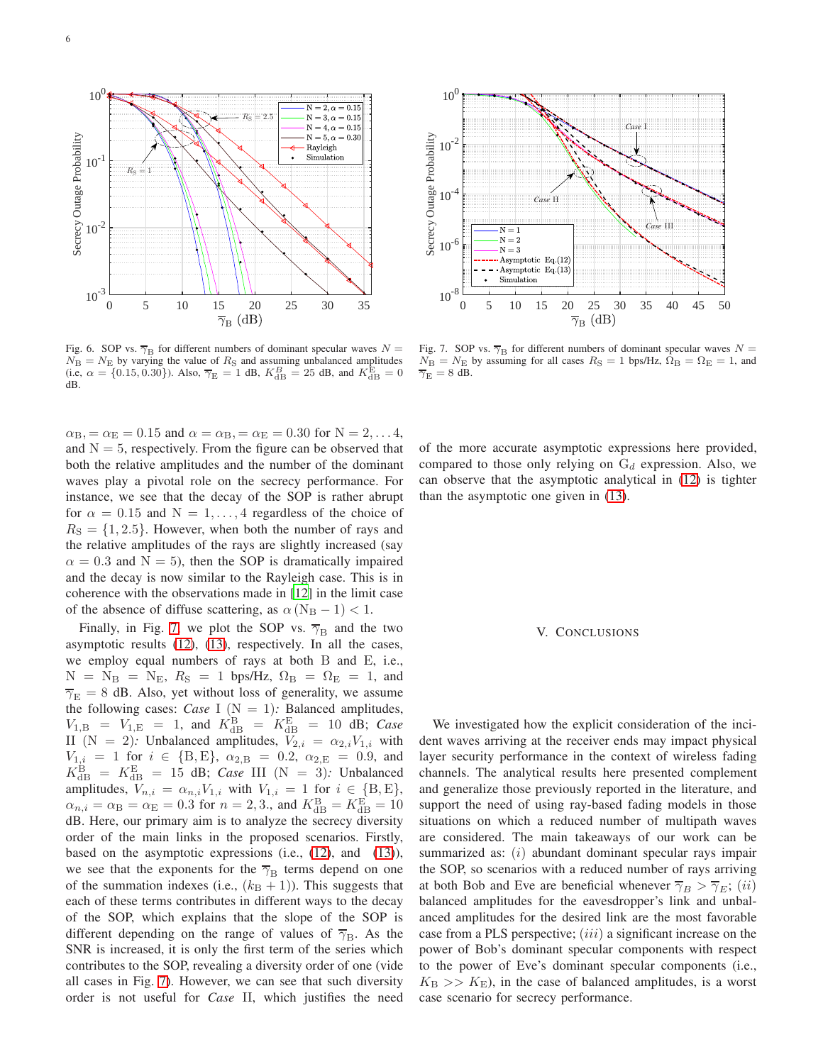

<span id="page-5-0"></span>Fig. 6. SOP vs.  $\overline{\gamma}_{\text{B}}$  for different numbers of dominant specular waves  $N =$  $N_{\rm B} = N_{\rm E}$  by varying the value of  $R_{\rm S}$  and assuming unbalanced amplitudes (i.e,  $\alpha = \{0.15, 0.30\}$ ). Also,  $\overline{\gamma}_{\rm E} = 1$  dB,  $K_{\rm dB}^B = 25$  dB, and  $K_{\rm dB}^{\rm E} = 0$ dB.

 $\alpha_{\rm B} = \alpha_{\rm E} = 0.15$  and  $\alpha = \alpha_{\rm B} = \alpha_{\rm E} = 0.30$  for  $N = 2, \ldots 4$ , and  $N = 5$ , respectively. From the figure can be observed that both the relative amplitudes and the number of the dominant waves play a pivotal role on the secrecy performance. For instance, we see that the decay of the SOP is rather abrupt for  $\alpha = 0.15$  and  $N = 1, \ldots, 4$  regardless of the choice of  $R<sub>S</sub> = \{1, 2.5\}$ . However, when both the number of rays and the relative amplitudes of the rays are slightly increased (say  $\alpha = 0.3$  and N = 5), then the SOP is dramatically impaired and the decay is now similar to the Rayleigh case. This is in coherence with the observations made in [\[12](#page-7-11)] in the limit case of the absence of diffuse scattering, as  $\alpha$  (N<sub>B</sub> − 1) < 1.

Finally, in Fig. [7,](#page-5-1) we plot the SOP vs.  $\overline{\gamma}_{\text{B}}$  and the two asymptotic results [\(12\)](#page-3-2), [\(13\)](#page-3-3), respectively. In all the cases, we employ equal numbers of rays at both B and E, i.e.,  $N = N_B = N_E$ ,  $R_S = 1$  bps/Hz,  $\Omega_B = \Omega_E = 1$ , and  $\overline{\gamma}_{\rm E} = 8$  dB. Also, yet without loss of generality, we assume the following cases: *Case* I ( $N = 1$ ): Balanced amplitudes,  $V_{1,\text{B}} = V_{1,\text{E}} = 1$ , and  $K_{\text{dB}}^{\text{B}} = K_{\text{dB}}^{\text{E}} = 10$  dB; Case II (N = 2): Unbalanced amplitudes,  $V_{2,i} = \alpha_{2,i} V_{1,i}$  with  $V_{1,i} = 1$  for  $i \in \{B, E\}, \alpha_{2,B} = 0.2, \alpha_{2,E} = 0.9$ , and  $K_{\text{dB}}^{\text{B}} = K_{\text{dB}}^{\text{E}} = 15$  dB; *Case* III (N = 3): Unbalanced amplitudes,  $V_{n,i} = \alpha_{n,i} V_{1,i}$  with  $V_{1,i} = 1$  for  $i \in \{B, E\},$  $\alpha_{n,i} = \alpha_{\rm B} = \alpha_{\rm E} = 0.3$  for  $n = 2, 3$ ., and  $K_{\rm dB}^{\rm B} = K_{\rm dB}^{\rm E} = 10$ dB. Here, our primary aim is to analyze the secrecy diversity order of the main links in the proposed scenarios. Firstly, based on the asymptotic expressions (i.e., [\(12\)](#page-3-2), and [\(13\)](#page-3-3)), we see that the exponents for the  $\overline{\gamma}_{\text{B}}$  terms depend on one of the summation indexes (i.e.,  $(k_B + 1)$ ). This suggests that each of these terms contributes in different ways to the decay of the SOP, which explains that the slope of the SOP is different depending on the range of values of  $\overline{\gamma}_{B}$ . As the SNR is increased, it is only the first term of the series which contributes to the SOP, revealing a diversity order of one (vide all cases in Fig. [7\)](#page-5-1). However, we can see that such diversity order is not useful for *Case* II, which justifies the need of the more accurate asymptotic expressions here provided, compared to those only relying on  $G_d$  expression. Also, we can observe that the asymptotic analytical in [\(12\)](#page-3-2) is tighter than the asymptotic one given in [\(13\)](#page-3-3).

#### V. CONCLUSIONS

We investigated how the explicit consideration of the incident waves arriving at the receiver ends may impact physical layer security performance in the context of wireless fading channels. The analytical results here presented complement and generalize those previously reported in the literature, and support the need of using ray-based fading models in those situations on which a reduced number of multipath waves are considered. The main takeaways of our work can be summarized as: (*i*) abundant dominant specular rays impair the SOP, so scenarios with a reduced number of rays arriving at both Bob and Eve are beneficial whenever  $\overline{\gamma}_B > \overline{\gamma}_E$ ; (ii) balanced amplitudes for the eavesdropper's link and unbalanced amplitudes for the desired link are the most favorable case from a PLS perspective;  $(iii)$  a significant increase on the power of Bob's dominant specular components with respect to the power of Eve's dominant specular components (i.e.,  $K_{\rm B} >> K_{\rm E}$ , in the case of balanced amplitudes, is a worst case scenario for secrecy performance.

Secrecy Outage Probability  $10^{-2}$  $10^{-4}$ *Case* II *Case* III  ${\cal N}=2$  $10^{-6}$  $N = 3$ Asymptotic Eq.(12) Asymptotic Eq.(13) Simulation  $10^{-8}$ 0 5 10 15 20 25 30 35 40 45 50

 $\mathcal{C}$ *as* 

 $10^{0}$ 

<span id="page-5-1"></span>Fig. 7. SOP vs.  $\overline{\gamma}_{\text{B}}$  for different numbers of dominant specular waves  $N =$  $N_{\rm B} = N_{\rm E}$  by assuming for all cases  $R_{\rm S} = 1$  bps/Hz,  $\Omega_{\rm B} = \Omega_{\rm E} = 1$ , and  $\overline{\gamma}_\mathrm{E}=8$  dB.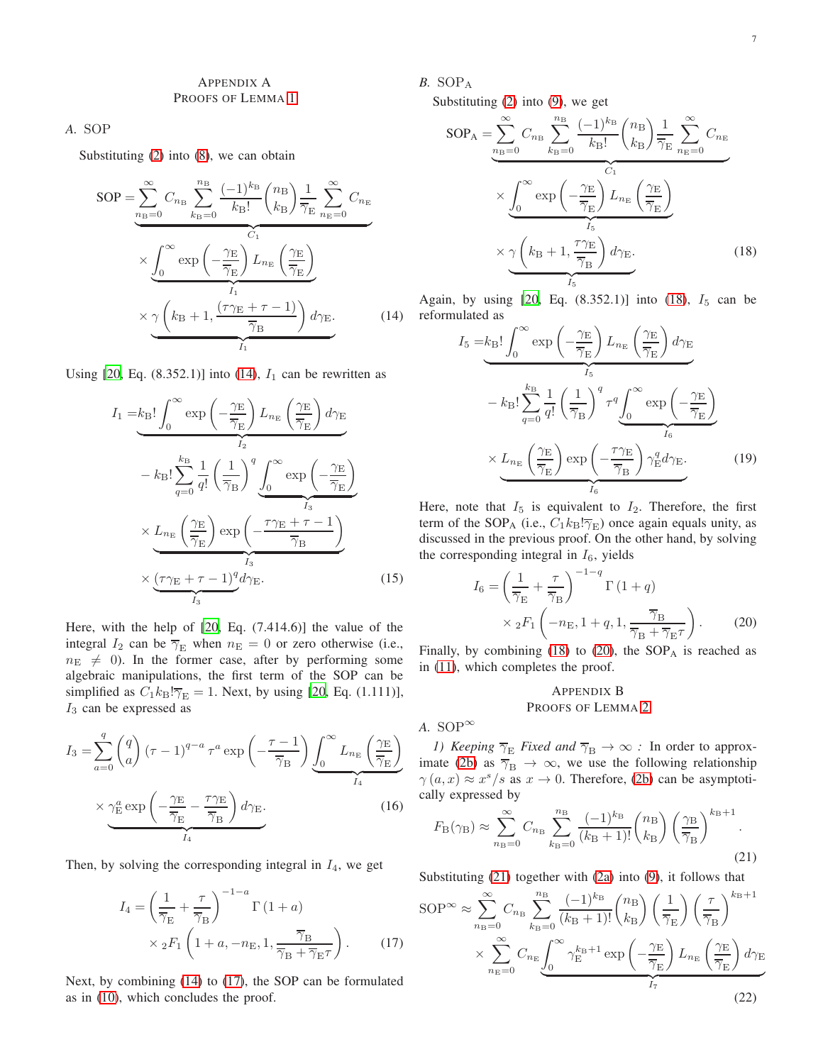# <span id="page-6-0"></span>APPENDIX A PROOFS OF LEMMA [1](#page-2-5)

# *A.* SOP

Substituting [\(2\)](#page-1-4) into [\(8\)](#page-2-0), we can obtain

$$
SOP = \sum_{n_{\rm B}=0}^{\infty} C_{n_{\rm B}} \sum_{k_{\rm B}=0}^{n_{\rm B}} \frac{(-1)^{k_{\rm B}}}{k_{\rm B}!} {n_{\rm B} \choose k_{\rm B}} \frac{1}{\overline{\gamma}_{\rm E}} \sum_{n_{\rm E}=0}^{\infty} C_{n_{\rm E}}
$$

$$
\times \underbrace{\int_{0}^{\infty} \exp\left(-\frac{\gamma_{\rm E}}{\overline{\gamma}_{\rm E}}\right) L_{n_{\rm E}} \left(\frac{\gamma_{\rm E}}{\overline{\gamma}_{\rm E}}\right)}_{I_1} \times \underbrace{\gamma \left(k_{\rm B}+1, \frac{(\tau \gamma_{\rm E}+\tau-1)}{\overline{\gamma}_{\rm B}}\right) d\gamma_{\rm E}}_{I_1} . \tag{14}
$$

Using [\[20,](#page-7-19) Eq.  $(8.352.1)$ ] into  $(14)$ ,  $I_1$  can be rewritten as

$$
I_{1} = k_{\rm B}! \int_{0}^{\infty} \exp\left(-\frac{\gamma_{\rm E}}{\overline{\gamma}_{\rm E}}\right) L_{n_{\rm E}} \left(\frac{\gamma_{\rm E}}{\overline{\gamma}_{\rm E}}\right) d\gamma_{\rm E}
$$

$$
- k_{\rm B}! \sum_{q=0}^{k_{\rm B}} \frac{1}{q!} \left(\frac{1}{\overline{\gamma}_{\rm B}}\right)^{q} \underbrace{\int_{0}^{\infty} \exp\left(-\frac{\gamma_{\rm E}}{\overline{\gamma}_{\rm E}}\right)}_{I_{3}}
$$

$$
\times \underbrace{L_{n_{\rm E}} \left(\frac{\gamma_{\rm E}}{\overline{\gamma}_{\rm E}}\right) \exp\left(-\frac{\tau \gamma_{\rm E} + \tau - 1}{\overline{\gamma}_{\rm B}}\right)}_{I_{3}}
$$

$$
\times \underbrace{(\tau \gamma_{\rm E} + \tau - 1)^{q} d\gamma_{\rm E}}_{I_{3}}.
$$
(15)

Here, with the help of [\[20,](#page-7-19) Eq. (7.414.6)] the value of the integral  $I_2$  can be  $\overline{\gamma}_E$  when  $n_E = 0$  or zero otherwise (i.e.,  $n_{\rm E} \neq 0$ ). In the former case, after by performing some algebraic manipulations, the first term of the SOP can be simplified as  $C_1k_B!\overline{\gamma}_E = 1$ . Next, by using [\[20](#page-7-19), Eq. (1.111)],  $I_3$  can be expressed as

$$
I_3 = \sum_{a=0}^{q} \binom{q}{a} (\tau - 1)^{q-a} \tau^a \exp\left(-\frac{\tau - 1}{\overline{\gamma}_{\mathcal{B}}}\right) \underbrace{\int_0^\infty L_{n_{\mathcal{E}}} \left(\frac{\gamma_{\mathcal{E}}}{\overline{\gamma}_{\mathcal{E}}}\right)}_{I_4}
$$
\n
$$
\times \underbrace{\gamma_{\mathcal{E}}^a \exp\left(-\frac{\gamma_{\mathcal{E}}}{\overline{\gamma}_{\mathcal{E}}}-\frac{\tau \gamma_{\mathcal{E}}}{\overline{\gamma}_{\mathcal{B}}}\right) d \gamma_{\mathcal{E}}}_{I_4}.
$$
\n(16)

Then, by solving the corresponding integral in  $I_4$ , we get

$$
I_4 = \left(\frac{1}{\overline{\gamma}_{\rm E}} + \frac{\tau}{\overline{\gamma}_{\rm B}}\right)^{-1-a} \Gamma\left(1+a\right)
$$

$$
\times {}_2F_1\left(1+a, -n_{\rm E}, 1, \frac{\overline{\gamma}_{\rm B}}{\overline{\gamma}_{\rm B} + \overline{\gamma}_{\rm E}\tau}\right). \tag{17}
$$

Next, by combining [\(14\)](#page-6-2) to [\(17\)](#page-6-3), the SOP can be formulated as in [\(10\)](#page-3-0), which concludes the proof.

*B.* SOP<sup>A</sup>

Substituting [\(2\)](#page-1-4) into [\(9\)](#page-2-1), we get

$$
SOP_A = \sum_{n_B=0}^{\infty} C_{n_B} \sum_{k_B=0}^{n_B} \frac{(-1)^{k_B} (n_B)}{k_B!} \left(\frac{n_B}{k_B}\right) \frac{1}{\overline{\gamma}_E} \sum_{n_E=0}^{\infty} C_{n_E}
$$

$$
\times \underbrace{\int_0^{\infty} \exp\left(-\frac{\gamma_E}{\overline{\gamma}_E}\right) L_{n_E} \left(\frac{\gamma_E}{\overline{\gamma}_E}\right)}_{I_5} \times \underbrace{\gamma \left(k_B+1, \frac{\tau \gamma_E}{\overline{\gamma}_B}\right) d\gamma_E}_{I_5}.
$$
(18)

<span id="page-6-2"></span>Again, by using  $[20, Eq. (8.352.1)]$  $[20, Eq. (8.352.1)]$  into  $(18), I_5$  can be reformulated as

<span id="page-6-4"></span>
$$
I_5 = k_B! \int_0^\infty \exp\left(-\frac{\gamma_E}{\overline{\gamma}_E}\right) L_{n_E} \left(\frac{\gamma_E}{\overline{\gamma}_E}\right) d\gamma_E
$$

$$
- k_B! \sum_{q=0}^{k_B} \frac{1}{q!} \left(\frac{1}{\overline{\gamma}_B}\right)^q \tau^q \underbrace{\int_0^\infty \exp\left(-\frac{\gamma_E}{\overline{\gamma}_E}\right)}_{I_6}
$$

$$
\times L_{n_E} \left(\frac{\gamma_E}{\overline{\gamma}_E}\right) \exp\left(-\frac{\tau \gamma_E}{\overline{\gamma}_B}\right) \gamma_E^q d\gamma_E.
$$
(19)

Here, note that  $I_5$  is equivalent to  $I_2$ . Therefore, the first term of the SOP<sub>A</sub> (i.e.,  $C_1k_B!\overline{\gamma_E}$ ) once again equals unity, as discussed in the previous proof. On the other hand, by solving the corresponding integral in  $I_6$ , yields

$$
I_6 = \left(\frac{1}{\overline{\gamma}_E} + \frac{\tau}{\overline{\gamma}_B}\right)^{-1-q} \Gamma\left(1+q\right)
$$
  
 
$$
\times {}_2F_1\left(-n_E, 1+q, 1, \frac{\overline{\gamma}_B}{\overline{\gamma}_B + \overline{\gamma}_E \tau}\right).
$$
 (20)

Finally, by combining [\(18\)](#page-6-4) to [\(20\)](#page-6-5), the  $SOP<sub>A</sub>$  is reached as in [\(11\)](#page-3-1), which completes the proof.

# <span id="page-6-6"></span><span id="page-6-5"></span><span id="page-6-1"></span>APPENDIX B PROOFS OF LEMMA [2](#page-2-6)

A. SOP $^{\infty}$ 

*1) Keeping*  $\overline{\gamma}_{\text{E}}$  *Fixed and*  $\overline{\gamma}_{\text{B}} \to \infty$  *:* In order to approx-imate [\(2b\)](#page-1-5) as  $\overline{\gamma}_{\text{B}} \rightarrow \infty$ , we use the following relationship  $\gamma(a,x) \approx x^s / s$  as  $x \to 0$ . Therefore, [\(2b\)](#page-1-5) can be asymptotically expressed by

$$
F_{\rm B}(\gamma_{\rm B}) \approx \sum_{n_{\rm B}=0}^{\infty} C_{n_{\rm B}} \sum_{k_{\rm B}=0}^{n_{\rm B}} \frac{(-1)^{k_{\rm B}}}{(k_{\rm B}+1)!} {n_{\rm B} \choose k_{\rm B}} \left(\frac{\gamma_{\rm B}}{\overline{\gamma}_{\rm B}}\right)^{k_{\rm B}+1}.
$$
\n(21)

Substituting [\(21\)](#page-6-6) together with [\(2a\)](#page-1-6) into [\(9\)](#page-2-1), it follows that

<span id="page-6-3"></span>
$$
SOP^{\infty} \approx \sum_{n_{\text{B}}=0}^{\infty} C_{n_{\text{B}}} \sum_{k_{\text{B}}=0}^{n_{\text{B}}} \frac{(-1)^{k_{\text{B}}}}{(k_{\text{B}}+1)!} {n_{\text{B}}} \left(\frac{n_{\text{B}}}{\overline{\gamma}_{\text{E}}}\right) \left(\frac{\tau}{\overline{\gamma}_{\text{B}}}\right)^{k_{\text{B}}+1} \times \sum_{n_{\text{E}}=0}^{\infty} C_{n_{\text{E}}} \underbrace{\int_{0}^{\infty} \gamma_{\text{E}}^{k_{\text{B}}+1} \exp\left(-\frac{\gamma_{\text{E}}}{\overline{\gamma}_{\text{E}}}\right) L_{n_{\text{E}}} \left(\frac{\gamma_{\text{E}}}{\overline{\gamma}_{\text{E}}}\right) d\gamma_{\text{E}}}{I_{\tau}}
$$
\n(22)